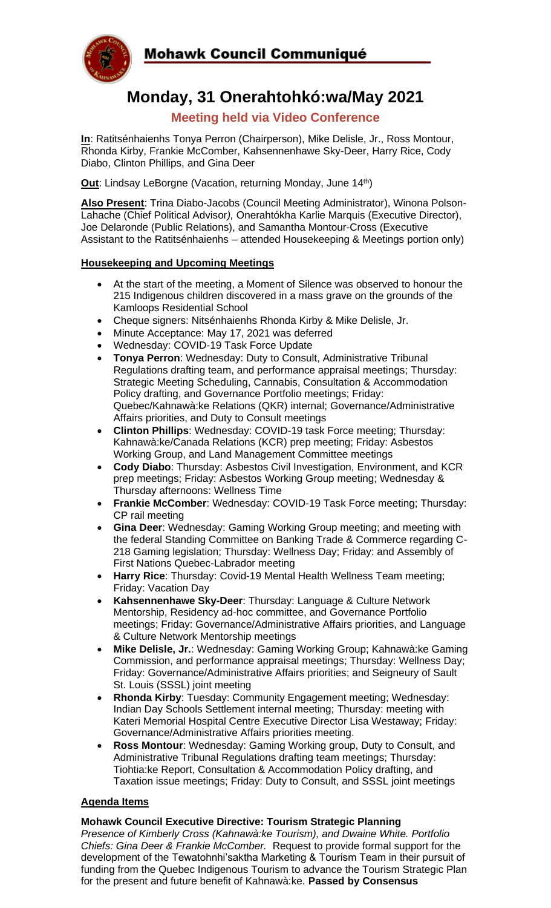

# **Monday, 31 Onerahtohkó:wa/May 2021**

## **Meeting held via Video Conference**

**In**: Ratitsénhaienhs Tonya Perron (Chairperson), Mike Delisle, Jr., Ross Montour, Rhonda Kirby, Frankie McComber, Kahsennenhawe Sky-Deer, Harry Rice, Cody Diabo, Clinton Phillips, and Gina Deer

**Out**: Lindsay LeBorgne (Vacation, returning Monday, June 14<sup>th</sup>)

**Also Present**: Trina Diabo-Jacobs (Council Meeting Administrator), Winona Polson-Lahache (Chief Political Advisor*),* Onerahtókha Karlie Marquis (Executive Director), Joe Delaronde (Public Relations), and Samantha Montour-Cross (Executive Assistant to the Ratitsénhaienhs – attended Housekeeping & Meetings portion only)

### **Housekeeping and Upcoming Meetings**

- At the start of the meeting, a Moment of Silence was observed to honour the 215 Indigenous children discovered in a mass grave on the grounds of the Kamloops Residential School
- Cheque signers: Nitsénhaienhs Rhonda Kirby & Mike Delisle, Jr.
- Minute Acceptance: May 17, 2021 was deferred
- Wednesday: COVID-19 Task Force Update
- **Tonya Perron**: Wednesday: Duty to Consult, Administrative Tribunal Regulations drafting team, and performance appraisal meetings; Thursday: Strategic Meeting Scheduling, Cannabis, Consultation & Accommodation Policy drafting, and Governance Portfolio meetings; Friday: Quebec/Kahnawà:ke Relations (QKR) internal; Governance/Administrative Affairs priorities, and Duty to Consult meetings
- **Clinton Phillips**: Wednesday: COVID-19 task Force meeting; Thursday: Kahnawà:ke/Canada Relations (KCR) prep meeting; Friday: Asbestos Working Group, and Land Management Committee meetings
- **Cody Diabo**: Thursday: Asbestos Civil Investigation, Environment, and KCR prep meetings; Friday: Asbestos Working Group meeting; Wednesday & Thursday afternoons: Wellness Time
- **Frankie McComber**: Wednesday: COVID-19 Task Force meeting; Thursday: CP rail meeting
- **Gina Deer**: Wednesday: Gaming Working Group meeting; and meeting with the federal Standing Committee on Banking Trade & Commerce regarding C-218 Gaming legislation; Thursday: Wellness Day; Friday: and Assembly of First Nations Quebec-Labrador meeting
- **Harry Rice**: Thursday: Covid-19 Mental Health Wellness Team meeting; Friday: Vacation Day
- **Kahsennenhawe Sky-Deer**: Thursday: Language & Culture Network Mentorship, Residency ad-hoc committee, and Governance Portfolio meetings; Friday: Governance/Administrative Affairs priorities, and Language & Culture Network Mentorship meetings
- **Mike Delisle, Jr.**: Wednesday: Gaming Working Group; Kahnawà:ke Gaming Commission, and performance appraisal meetings; Thursday: Wellness Day; Friday: Governance/Administrative Affairs priorities; and Seigneury of Sault St. Louis (SSSL) joint meeting
- **Rhonda Kirby**: Tuesday: Community Engagement meeting; Wednesday: Indian Day Schools Settlement internal meeting; Thursday: meeting with Kateri Memorial Hospital Centre Executive Director Lisa Westaway; Friday: Governance/Administrative Affairs priorities meeting.
- **Ross Montour**: Wednesday: Gaming Working group, Duty to Consult, and Administrative Tribunal Regulations drafting team meetings; Thursday: Tiohtia:ke Report, Consultation & Accommodation Policy drafting, and Taxation issue meetings; Friday: Duty to Consult, and SSSL joint meetings

#### **Agenda Items**

#### **Mohawk Council Executive Directive: Tourism Strategic Planning**

*Presence of Kimberly Cross (Kahnawà:ke Tourism), and Dwaine White. Portfolio Chiefs: Gina Deer & Frankie McComber.* Request to provide formal support for the development of the Tewatohnhi'saktha Marketing & Tourism Team in their pursuit of funding from the Quebec Indigenous Tourism to advance the Tourism Strategic Plan for the present and future benefit of Kahnawà:ke. **Passed by Consensus**